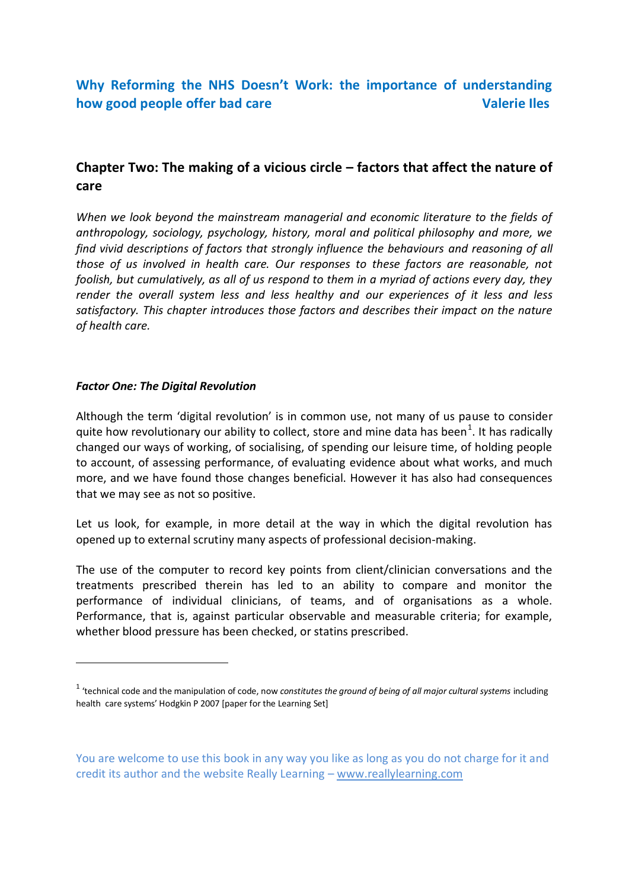# **Chapter Two: The making of a vicious circle – factors that affect the nature of care**

*When we look beyond the mainstream managerial and economic literature to the fields of anthropology, sociology, psychology, history, moral and political philosophy and more, we find vivid descriptions of factors that strongly influence the behaviours and reasoning of all those of us involved in health care. Our responses to these factors are reasonable, not foolish, but cumulatively, as all of us respond to them in a myriad of actions every day, they render the overall system less and less healthy and our experiences of it less and less satisfactory. This chapter introduces those factors and describes their impact on the nature of health care.*

## *Factor One: The Digital Revolution*

-

Although the term 'digital revolution' is in common use, not many of us pause to consider quite how revolutionary our ability to collect, store and mine data has been<sup>1</sup>. It has radically changed our ways of working, of socialising, of spending our leisure time, of holding people to account, of assessing performance, of evaluating evidence about what works, and much more, and we have found those changes beneficial. However it has also had consequences that we may see as not so positive.

Let us look, for example, in more detail at the way in which the digital revolution has opened up to external scrutiny many aspects of professional decision-making.

The use of the computer to record key points from client/clinician conversations and the treatments prescribed therein has led to an ability to compare and monitor the performance of individual clinicians, of teams, and of organisations as a whole. Performance, that is, against particular observable and measurable criteria; for example, whether blood pressure has been checked, or statins prescribed.

<sup>&</sup>lt;sup>1</sup> 'technical code and the manipulation of code, now *constitutes the ground of being of all major cultural systems* including health care systems' Hodgkin P 2007 [paper for the Learning Set]

You are welcome to use this book in any way you like as long as you do not charge for it and credit its author and the website Really Learning – www.reallylearning.com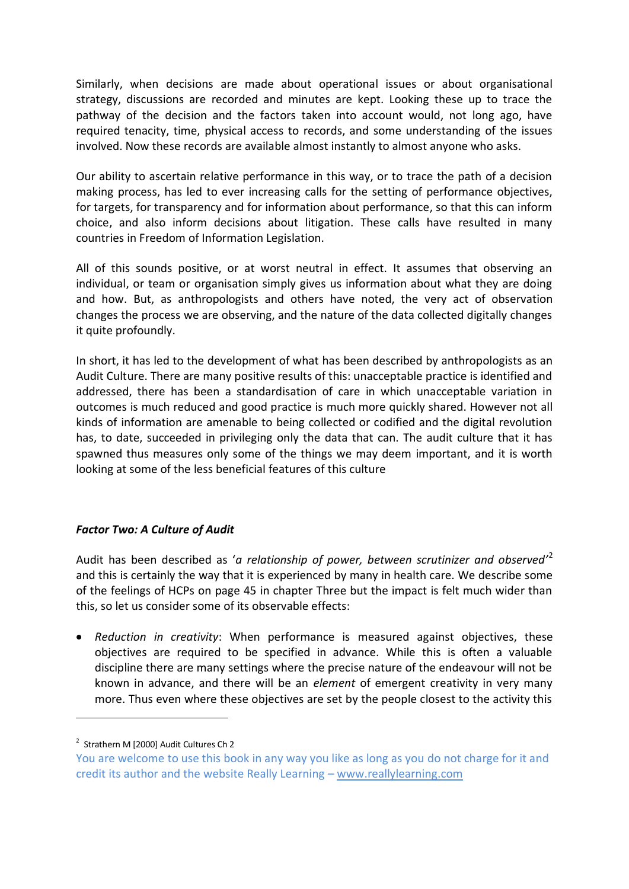Similarly, when decisions are made about operational issues or about organisational strategy, discussions are recorded and minutes are kept. Looking these up to trace the pathway of the decision and the factors taken into account would, not long ago, have required tenacity, time, physical access to records, and some understanding of the issues involved. Now these records are available almost instantly to almost anyone who asks.

Our ability to ascertain relative performance in this way, or to trace the path of a decision making process, has led to ever increasing calls for the setting of performance objectives, for targets, for transparency and for information about performance, so that this can inform choice, and also inform decisions about litigation. These calls have resulted in many countries in Freedom of Information Legislation.

All of this sounds positive, or at worst neutral in effect. It assumes that observing an individual, or team or organisation simply gives us information about what they are doing and how. But, as anthropologists and others have noted, the very act of observation changes the process we are observing, and the nature of the data collected digitally changes it quite profoundly.

In short, it has led to the development of what has been described by anthropologists as an Audit Culture. There are many positive results of this: unacceptable practice is identified and addressed, there has been a standardisation of care in which unacceptable variation in outcomes is much reduced and good practice is much more quickly shared. However not all kinds of information are amenable to being collected or codified and the digital revolution has, to date, succeeded in privileging only the data that can. The audit culture that it has spawned thus measures only some of the things we may deem important, and it is worth looking at some of the less beneficial features of this culture

# *Factor Two: A Culture of Audit*

Audit has been described as '*a relationship of power, between scrutinizer and observed'*<sup>2</sup> and this is certainly the way that it is experienced by many in health care. We describe some of the feelings of HCPs on page 45 in chapter Three but the impact is felt much wider than this, so let us consider some of its observable effects:

*Reduction in creativity*: When performance is measured against objectives, these objectives are required to be specified in advance. While this is often a valuable discipline there are many settings where the precise nature of the endeavour will not be known in advance, and there will be an *element* of emergent creativity in very many more. Thus even where these objectives are set by the people closest to the activity this

-

<sup>&</sup>lt;sup>2</sup> Strathern M [2000] Audit Cultures Ch 2

You are welcome to use this book in any way you like as long as you do not charge for it and credit its author and the website Really Learning – www.reallylearning.com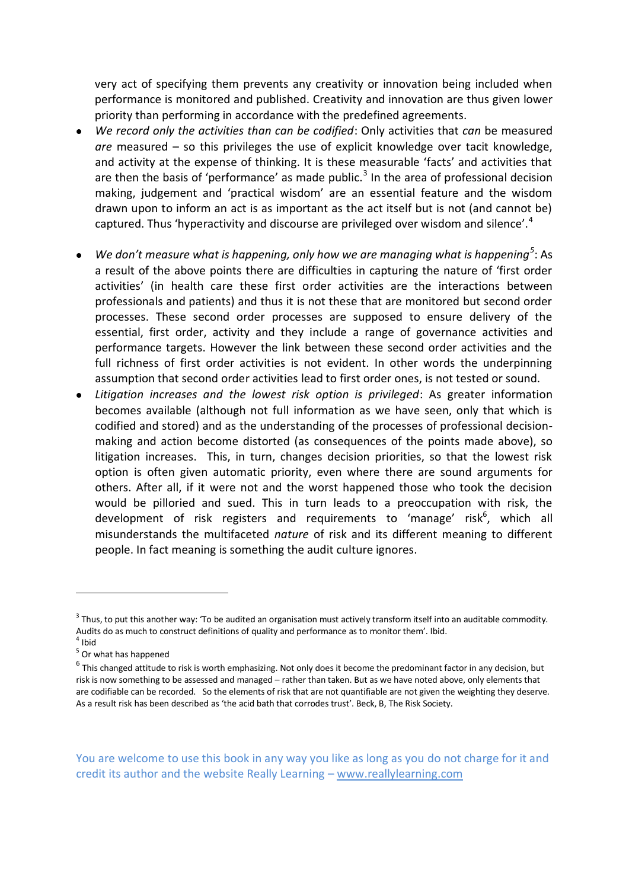very act of specifying them prevents any creativity or innovation being included when performance is monitored and published. Creativity and innovation are thus given lower priority than performing in accordance with the predefined agreements.

- *We record only the activities than can be codified*: Only activities that *can* be measured *are* measured – so this privileges the use of explicit knowledge over tacit knowledge, and activity at the expense of thinking. It is these measurable 'facts' and activities that are then the basis of 'performance' as made public. $<sup>3</sup>$  In the area of professional decision</sup> making, judgement and 'practical wisdom' are an essential feature and the wisdom drawn upon to inform an act is as important as the act itself but is not (and cannot be) captured. Thus 'hyperactivity and discourse are privileged over wisdom and silence'.<sup>4</sup>
- We don't measure what is happening, only how we are managing what is happening<sup>5</sup>: As a result of the above points there are difficulties in capturing the nature of 'first order activities' (in health care these first order activities are the interactions between professionals and patients) and thus it is not these that are monitored but second order processes. These second order processes are supposed to ensure delivery of the essential, first order, activity and they include a range of governance activities and performance targets. However the link between these second order activities and the full richness of first order activities is not evident. In other words the underpinning assumption that second order activities lead to first order ones, is not tested or sound.
- *Litigation increases and the lowest risk option is privileged*: As greater information becomes available (although not full information as we have seen, only that which is codified and stored) and as the understanding of the processes of professional decisionmaking and action become distorted (as consequences of the points made above), so litigation increases. This, in turn, changes decision priorities, so that the lowest risk option is often given automatic priority, even where there are sound arguments for others. After all, if it were not and the worst happened those who took the decision would be pilloried and sued. This in turn leads to a preoccupation with risk, the development of risk registers and requirements to 'manage' risk<sup>6</sup>, which all misunderstands the multifaceted *nature* of risk and its different meaning to different people. In fact meaning is something the audit culture ignores.

<u>.</u>

 $3$  Thus, to put this another way: 'To be audited an organisation must actively transform itself into an auditable commodity. Audits do as much to construct definitions of quality and performance as to monitor them'. Ibid.

<sup>4</sup> Ibid

<sup>&</sup>lt;sup>5</sup> Or what has happened

 $^6$  This changed attitude to risk is worth emphasizing. Not only does it become the predominant factor in any decision, but risk is now something to be assessed and managed – rather than taken. But as we have noted above, only elements that are codifiable can be recorded. So the elements of risk that are not quantifiable are not given the weighting they deserve. As a result risk has been described as 'the acid bath that corrodes trust'. Beck, B, The Risk Society.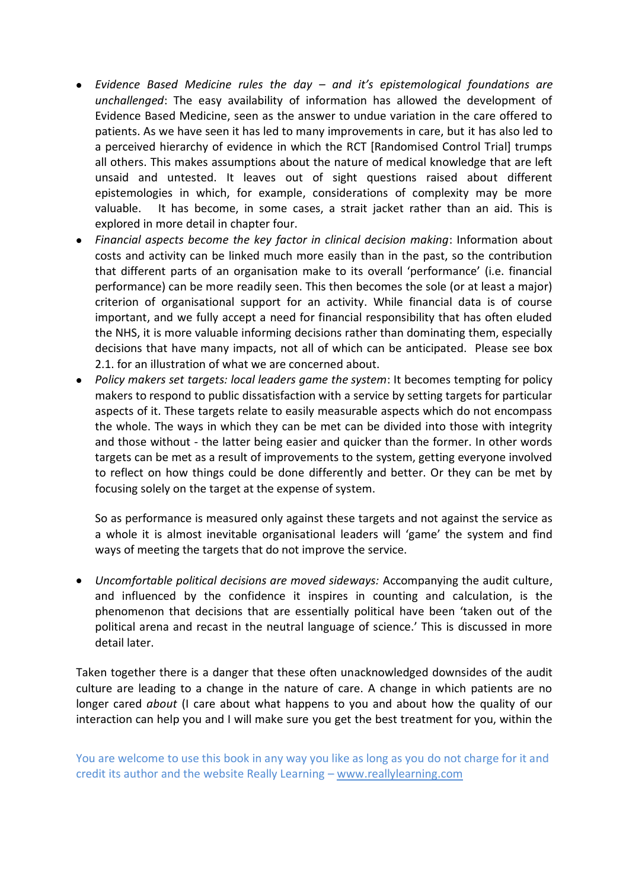- *Evidence Based Medicine rules the day – and it's epistemological foundations are unchallenged*: The easy availability of information has allowed the development of Evidence Based Medicine, seen as the answer to undue variation in the care offered to patients. As we have seen it has led to many improvements in care, but it has also led to a perceived hierarchy of evidence in which the RCT [Randomised Control Trial] trumps all others. This makes assumptions about the nature of medical knowledge that are left unsaid and untested. It leaves out of sight questions raised about different epistemologies in which, for example, considerations of complexity may be more valuable. It has become, in some cases, a strait jacket rather than an aid. This is explored in more detail in chapter four.
- *Financial aspects become the key factor in clinical decision making*: Information about costs and activity can be linked much more easily than in the past, so the contribution that different parts of an organisation make to its overall 'performance' (i.e. financial performance) can be more readily seen. This then becomes the sole (or at least a major) criterion of organisational support for an activity. While financial data is of course important, and we fully accept a need for financial responsibility that has often eluded the NHS, it is more valuable informing decisions rather than dominating them, especially decisions that have many impacts, not all of which can be anticipated. Please see box 2.1. for an illustration of what we are concerned about.
- *Policy makers set targets: local leaders game the system*: It becomes tempting for policy makers to respond to public dissatisfaction with a service by setting targets for particular aspects of it. These targets relate to easily measurable aspects which do not encompass the whole. The ways in which they can be met can be divided into those with integrity and those without - the latter being easier and quicker than the former. In other words targets can be met as a result of improvements to the system, getting everyone involved to reflect on how things could be done differently and better. Or they can be met by focusing solely on the target at the expense of system.

So as performance is measured only against these targets and not against the service as a whole it is almost inevitable organisational leaders will 'game' the system and find ways of meeting the targets that do not improve the service.

*Uncomfortable political decisions are moved sideways:* Accompanying the audit culture, and influenced by the confidence it inspires in counting and calculation, is the phenomenon that decisions that are essentially political have been 'taken out of the political arena and recast in the neutral language of science.' This is discussed in more detail later.

Taken together there is a danger that these often unacknowledged downsides of the audit culture are leading to a change in the nature of care. A change in which patients are no longer cared *about* (I care about what happens to you and about how the quality of our interaction can help you and I will make sure you get the best treatment for you, within the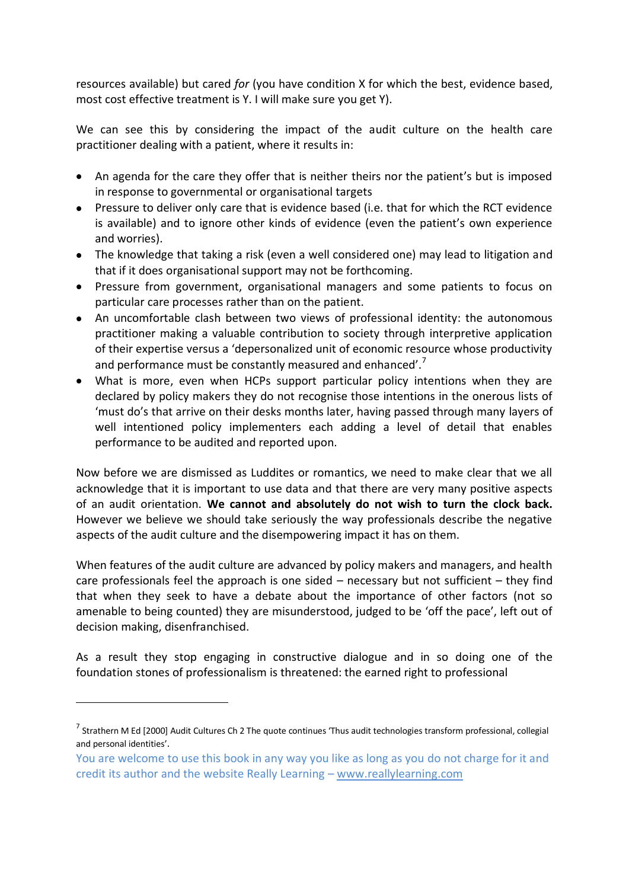resources available) but cared *for* (you have condition X for which the best, evidence based, most cost effective treatment is Y. I will make sure you get Y).

We can see this by considering the impact of the audit culture on the health care practitioner dealing with a patient, where it results in:

- An agenda for the care they offer that is neither theirs nor the patient's but is imposed in response to governmental or organisational targets
- Pressure to deliver only care that is evidence based (i.e. that for which the RCT evidence is available) and to ignore other kinds of evidence (even the patient's own experience and worries).
- The knowledge that taking a risk (even a well considered one) may lead to litigation and that if it does organisational support may not be forthcoming.
- Pressure from government, organisational managers and some patients to focus on particular care processes rather than on the patient.
- An uncomfortable clash between two views of professional identity: the autonomous practitioner making a valuable contribution to society through interpretive application of their expertise versus a 'depersonalized unit of economic resource whose productivity and performance must be constantly measured and enhanced'.<sup>7</sup>
- What is more, even when HCPs support particular policy intentions when they are declared by policy makers they do not recognise those intentions in the onerous lists of 'must do's that arrive on their desks months later, having passed through many layers of well intentioned policy implementers each adding a level of detail that enables performance to be audited and reported upon.

Now before we are dismissed as Luddites or romantics, we need to make clear that we all acknowledge that it is important to use data and that there are very many positive aspects of an audit orientation. **We cannot and absolutely do not wish to turn the clock back.** However we believe we should take seriously the way professionals describe the negative aspects of the audit culture and the disempowering impact it has on them.

When features of the audit culture are advanced by policy makers and managers, and health care professionals feel the approach is one sided – necessary but not sufficient – they find that when they seek to have a debate about the importance of other factors (not so amenable to being counted) they are misunderstood, judged to be 'off the pace', left out of decision making, disenfranchised.

As a result they stop engaging in constructive dialogue and in so doing one of the foundation stones of professionalism is threatened: the earned right to professional

-

 $^7$  Strathern M Ed [2000] Audit Cultures Ch 2 The quote continues 'Thus audit technologies transform professional, collegial and personal identities'.

You are welcome to use this book in any way you like as long as you do not charge for it and credit its author and the website Really Learning – www.reallylearning.com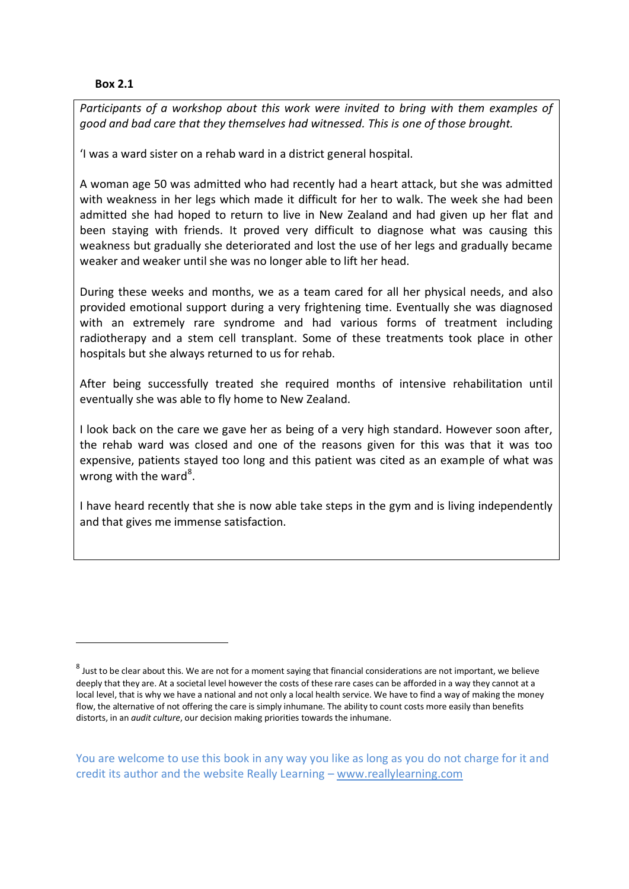#### **Box 2.1**

-

*Participants of a workshop about this work were invited to bring with them examples of good and bad care that they themselves had witnessed. This is one of those brought.*

'I was a ward sister on a rehab ward in a district general hospital.

A woman age 50 was admitted who had recently had a heart attack, but she was admitted with weakness in her legs which made it difficult for her to walk. The week she had been admitted she had hoped to return to live in New Zealand and had given up her flat and been staying with friends. It proved very difficult to diagnose what was causing this weakness but gradually she deteriorated and lost the use of her legs and gradually became weaker and weaker until she was no longer able to lift her head.

During these weeks and months, we as a team cared for all her physical needs, and also provided emotional support during a very frightening time. Eventually she was diagnosed with an extremely rare syndrome and had various forms of treatment including radiotherapy and a stem cell transplant. Some of these treatments took place in other hospitals but she always returned to us for rehab.

After being successfully treated she required months of intensive rehabilitation until eventually she was able to fly home to New Zealand.

I look back on the care we gave her as being of a very high standard. However soon after, the rehab ward was closed and one of the reasons given for this was that it was too expensive, patients stayed too long and this patient was cited as an example of what was wrong with the ward<sup>8</sup>.

I have heard recently that she is now able take steps in the gym and is living independently and that gives me immense satisfaction.

 $^8$  Just to be clear about this. We are not for a moment saying that financial considerations are not important, we believe deeply that they are. At a societal level however the costs of these rare cases can be afforded in a way they cannot at a local level, that is why we have a national and not only a local health service. We have to find a way of making the money flow, the alternative of not offering the care is simply inhumane. The ability to count costs more easily than benefits distorts, in an *audit culture*, our decision making priorities towards the inhumane.

You are welcome to use this book in any way you like as long as you do not charge for it and credit its author and the website Really Learning – www.reallylearning.com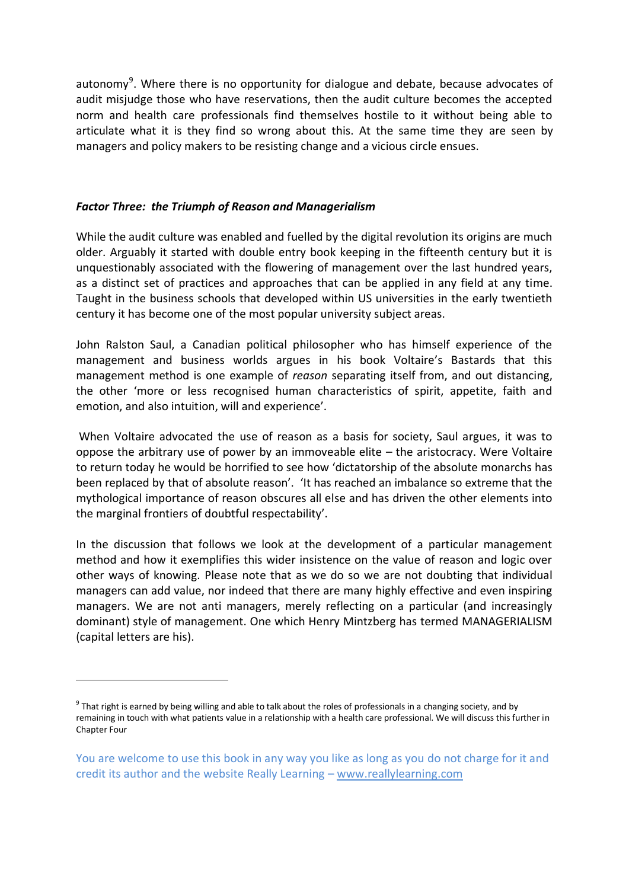autonomy<sup>9</sup>. Where there is no opportunity for dialogue and debate, because advocates of audit misjudge those who have reservations, then the audit culture becomes the accepted norm and health care professionals find themselves hostile to it without being able to articulate what it is they find so wrong about this. At the same time they are seen by managers and policy makers to be resisting change and a vicious circle ensues.

# *Factor Three: the Triumph of Reason and Managerialism*

-

While the audit culture was enabled and fuelled by the digital revolution its origins are much older. Arguably it started with double entry book keeping in the fifteenth century but it is unquestionably associated with the flowering of management over the last hundred years, as a distinct set of practices and approaches that can be applied in any field at any time. Taught in the business schools that developed within US universities in the early twentieth century it has become one of the most popular university subject areas.

John Ralston Saul, a Canadian political philosopher who has himself experience of the management and business worlds argues in his book Voltaire's Bastards that this management method is one example of *reason* separating itself from, and out distancing, the other 'more or less recognised human characteristics of spirit, appetite, faith and emotion, and also intuition, will and experience'.

When Voltaire advocated the use of reason as a basis for society, Saul argues, it was to oppose the arbitrary use of power by an immoveable elite – the aristocracy. Were Voltaire to return today he would be horrified to see how 'dictatorship of the absolute monarchs has been replaced by that of absolute reason'. 'It has reached an imbalance so extreme that the mythological importance of reason obscures all else and has driven the other elements into the marginal frontiers of doubtful respectability'.

In the discussion that follows we look at the development of a particular management method and how it exemplifies this wider insistence on the value of reason and logic over other ways of knowing. Please note that as we do so we are not doubting that individual managers can add value, nor indeed that there are many highly effective and even inspiring managers. We are not anti managers, merely reflecting on a particular (and increasingly dominant) style of management. One which Henry Mintzberg has termed MANAGERIALISM (capital letters are his).

<sup>&</sup>lt;sup>9</sup> That right is earned by being willing and able to talk about the roles of professionals in a changing society, and by remaining in touch with what patients value in a relationship with a health care professional. We will discuss this further in Chapter Four

You are welcome to use this book in any way you like as long as you do not charge for it and credit its author and the website Really Learning – www.reallylearning.com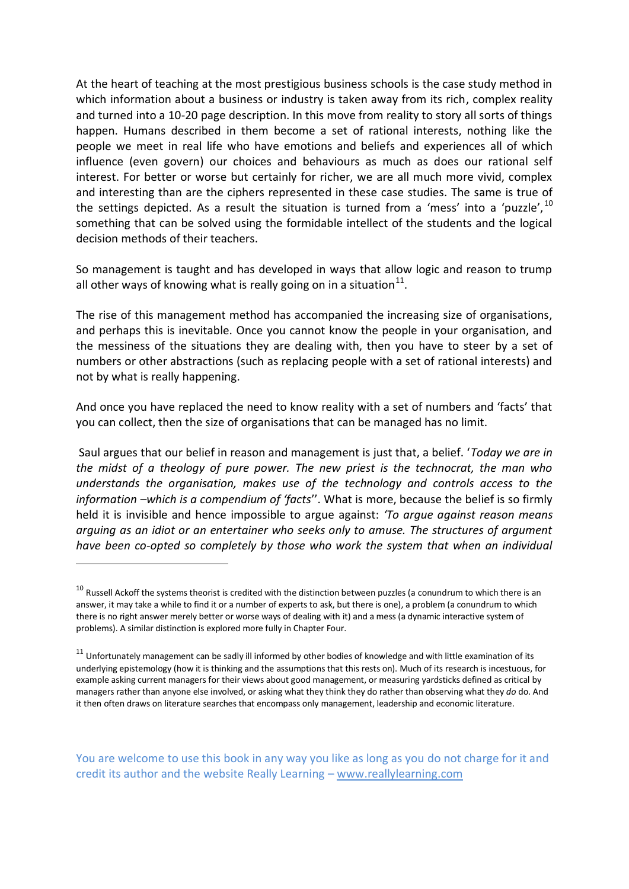At the heart of teaching at the most prestigious business schools is the case study method in which information about a business or industry is taken away from its rich, complex reality and turned into a 10-20 page description. In this move from reality to story all sorts of things happen. Humans described in them become a set of rational interests, nothing like the people we meet in real life who have emotions and beliefs and experiences all of which influence (even govern) our choices and behaviours as much as does our rational self interest. For better or worse but certainly for richer, we are all much more vivid, complex and interesting than are the ciphers represented in these case studies. The same is true of the settings depicted. As a result the situation is turned from a 'mess' into a 'puzzle', $^{10}$ something that can be solved using the formidable intellect of the students and the logical decision methods of their teachers.

So management is taught and has developed in ways that allow logic and reason to trump all other ways of knowing what is really going on in a situation $^{11}$ .

The rise of this management method has accompanied the increasing size of organisations, and perhaps this is inevitable. Once you cannot know the people in your organisation, and the messiness of the situations they are dealing with, then you have to steer by a set of numbers or other abstractions (such as replacing people with a set of rational interests) and not by what is really happening.

And once you have replaced the need to know reality with a set of numbers and 'facts' that you can collect, then the size of organisations that can be managed has no limit.

Saul argues that our belief in reason and management is just that, a belief. '*Today we are in the midst of a theology of pure power. The new priest is the technocrat, the man who understands the organisation, makes use of the technology and controls access to the information –which is a compendium of 'facts*''. What is more, because the belief is so firmly held it is invisible and hence impossible to argue against: *'To argue against reason means arguing as an idiot or an entertainer who seeks only to amuse. The structures of argument have been co-opted so completely by those who work the system that when an individual* 

<u>.</u>

 $10$  Russell Ackoff the systems theorist is credited with the distinction between puzzles (a conundrum to which there is an answer, it may take a while to find it or a number of experts to ask, but there is one), a problem (a conundrum to which there is no right answer merely better or worse ways of dealing with it) and a mess (a dynamic interactive system of problems). A similar distinction is explored more fully in Chapter Four.

 $11$  Unfortunately management can be sadly ill informed by other bodies of knowledge and with little examination of its underlying epistemology (how it is thinking and the assumptions that this rests on). Much of its research is incestuous, for example asking current managers for their views about good management, or measuring yardsticks defined as critical by managers rather than anyone else involved, or asking what they think they do rather than observing what they *do* do. And it then often draws on literature searches that encompass only management, leadership and economic literature.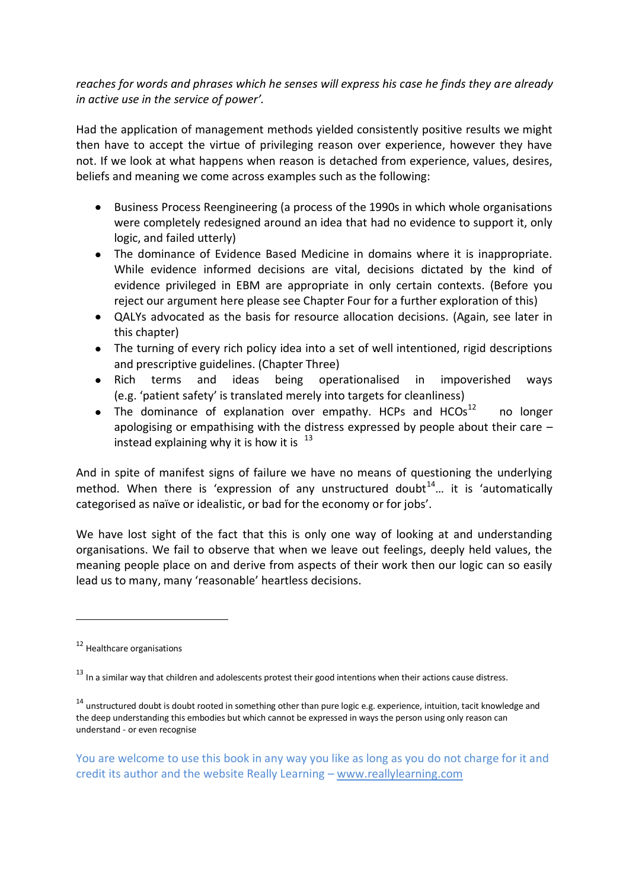# *reaches for words and phrases which he senses will express his case he finds they are already in active use in the service of power'.*

Had the application of management methods yielded consistently positive results we might then have to accept the virtue of privileging reason over experience, however they have not. If we look at what happens when reason is detached from experience, values, desires, beliefs and meaning we come across examples such as the following:

- Business Process Reengineering (a process of the 1990s in which whole organisations were completely redesigned around an idea that had no evidence to support it, only logic, and failed utterly)
- The dominance of Evidence Based Medicine in domains where it is inappropriate. While evidence informed decisions are vital, decisions dictated by the kind of evidence privileged in EBM are appropriate in only certain contexts. (Before you reject our argument here please see Chapter Four for a further exploration of this)
- QALYs advocated as the basis for resource allocation decisions. (Again, see later in  $\bullet$ this chapter)
- The turning of every rich policy idea into a set of well intentioned, rigid descriptions and prescriptive guidelines. (Chapter Three)
- Rich terms and ideas being operationalised in impoverished ways (e.g. 'patient safety' is translated merely into targets for cleanliness)
- The dominance of explanation over empathy. HCPs and  $HCOs^{12}$  no longer apologising or empathising with the distress expressed by people about their care – instead explaining why it is how it is  $13$

And in spite of manifest signs of failure we have no means of questioning the underlying method. When there is 'expression of any unstructured doubt<sup>14</sup>... it is 'automatically categorised as naïve or idealistic, or bad for the economy or for jobs'.

We have lost sight of the fact that this is only one way of looking at and understanding organisations. We fail to observe that when we leave out feelings, deeply held values, the meaning people place on and derive from aspects of their work then our logic can so easily lead us to many, many 'reasonable' heartless decisions.

-

<sup>&</sup>lt;sup>12</sup> Healthcare organisations

<sup>&</sup>lt;sup>13</sup> In a similar way that children and adolescents protest their good intentions when their actions cause distress.

<sup>&</sup>lt;sup>14</sup> unstructured doubt is doubt rooted in something other than pure logic e.g. experience, intuition, tacit knowledge and the deep understanding this embodies but which cannot be expressed in ways the person using only reason can understand - or even recognise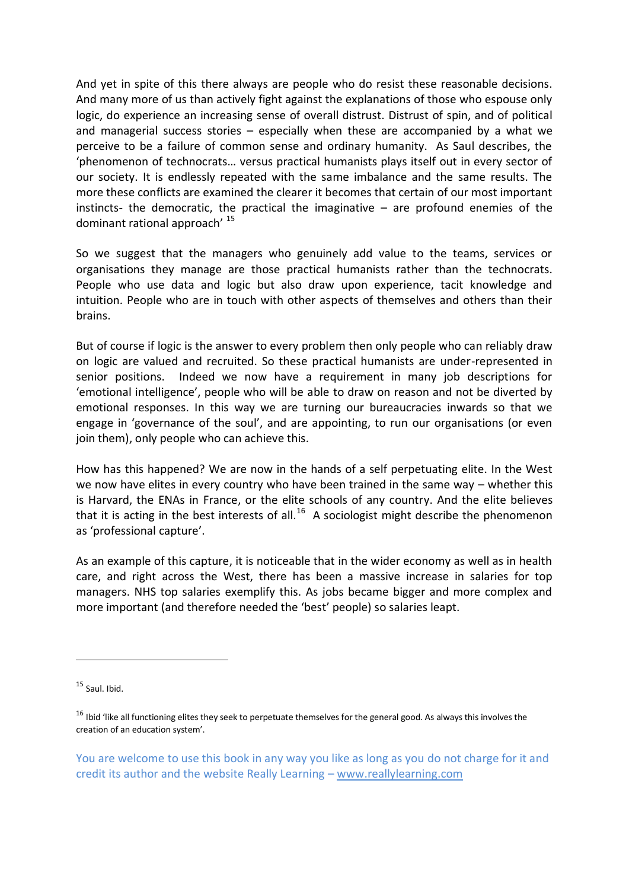And yet in spite of this there always are people who do resist these reasonable decisions. And many more of us than actively fight against the explanations of those who espouse only logic, do experience an increasing sense of overall distrust. Distrust of spin, and of political and managerial success stories – especially when these are accompanied by a what we perceive to be a failure of common sense and ordinary humanity. As Saul describes, the 'phenomenon of technocrats… versus practical humanists plays itself out in every sector of our society. It is endlessly repeated with the same imbalance and the same results. The more these conflicts are examined the clearer it becomes that certain of our most important instincts- the democratic, the practical the imaginative – are profound enemies of the dominant rational approach' <sup>15</sup>

So we suggest that the managers who genuinely add value to the teams, services or organisations they manage are those practical humanists rather than the technocrats. People who use data and logic but also draw upon experience, tacit knowledge and intuition. People who are in touch with other aspects of themselves and others than their brains.

But of course if logic is the answer to every problem then only people who can reliably draw on logic are valued and recruited. So these practical humanists are under-represented in senior positions. Indeed we now have a requirement in many job descriptions for 'emotional intelligence', people who will be able to draw on reason and not be diverted by emotional responses. In this way we are turning our bureaucracies inwards so that we engage in 'governance of the soul', and are appointing, to run our organisations (or even join them), only people who can achieve this.

How has this happened? We are now in the hands of a self perpetuating elite. In the West we now have elites in every country who have been trained in the same way – whether this is Harvard, the ENAs in France, or the elite schools of any country. And the elite believes that it is acting in the best interests of all.<sup>16</sup> A sociologist might describe the phenomenon as 'professional capture'.

As an example of this capture, it is noticeable that in the wider economy as well as in health care, and right across the West, there has been a massive increase in salaries for top managers. NHS top salaries exemplify this. As jobs became bigger and more complex and more important (and therefore needed the 'best' people) so salaries leapt.

<u>.</u>

<sup>15</sup> Saul. Ibid.

<sup>&</sup>lt;sup>16</sup> Ibid 'like all functioning elites they seek to perpetuate themselves for the general good. As always this involves the creation of an education system'.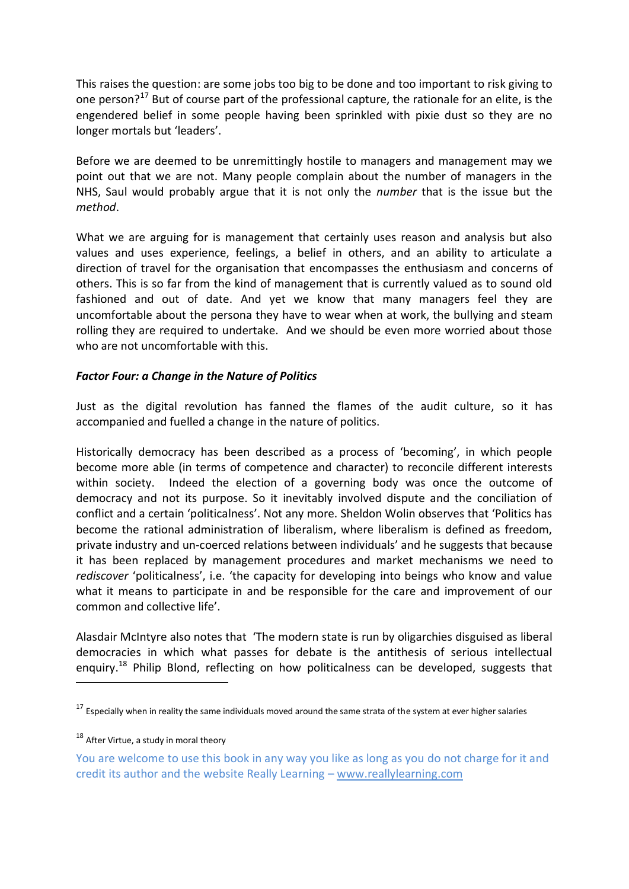This raises the question: are some jobs too big to be done and too important to risk giving to one person?<sup>17</sup> But of course part of the professional capture, the rationale for an elite, is the engendered belief in some people having been sprinkled with pixie dust so they are no longer mortals but 'leaders'.

Before we are deemed to be unremittingly hostile to managers and management may we point out that we are not. Many people complain about the number of managers in the NHS, Saul would probably argue that it is not only the *number* that is the issue but the *method*.

What we are arguing for is management that certainly uses reason and analysis but also values and uses experience, feelings, a belief in others, and an ability to articulate a direction of travel for the organisation that encompasses the enthusiasm and concerns of others. This is so far from the kind of management that is currently valued as to sound old fashioned and out of date. And yet we know that many managers feel they are uncomfortable about the persona they have to wear when at work, the bullying and steam rolling they are required to undertake. And we should be even more worried about those who are not uncomfortable with this.

## *Factor Four: a Change in the Nature of Politics*

Just as the digital revolution has fanned the flames of the audit culture, so it has accompanied and fuelled a change in the nature of politics.

Historically democracy has been described as a process of 'becoming', in which people become more able (in terms of competence and character) to reconcile different interests within society. Indeed the election of a governing body was once the outcome of democracy and not its purpose. So it inevitably involved dispute and the conciliation of conflict and a certain 'politicalness'. Not any more. Sheldon Wolin observes that 'Politics has become the rational administration of liberalism, where liberalism is defined as freedom, private industry and un-coerced relations between individuals' and he suggests that because it has been replaced by management procedures and market mechanisms we need to *rediscover* 'politicalness', i.e. 'the capacity for developing into beings who know and value what it means to participate in and be responsible for the care and improvement of our common and collective life'.

Alasdair McIntyre also notes that 'The modern state is run by oligarchies disguised as liberal democracies in which what passes for debate is the antithesis of serious intellectual enguiry.<sup>18</sup> Philip Blond, reflecting on how politicalness can be developed, suggests that

-

<sup>&</sup>lt;sup>17</sup> Especially when in reality the same individuals moved around the same strata of the system at ever higher salaries

 $18$  After Virtue, a study in moral theory

You are welcome to use this book in any way you like as long as you do not charge for it and credit its author and the website Really Learning – www.reallylearning.com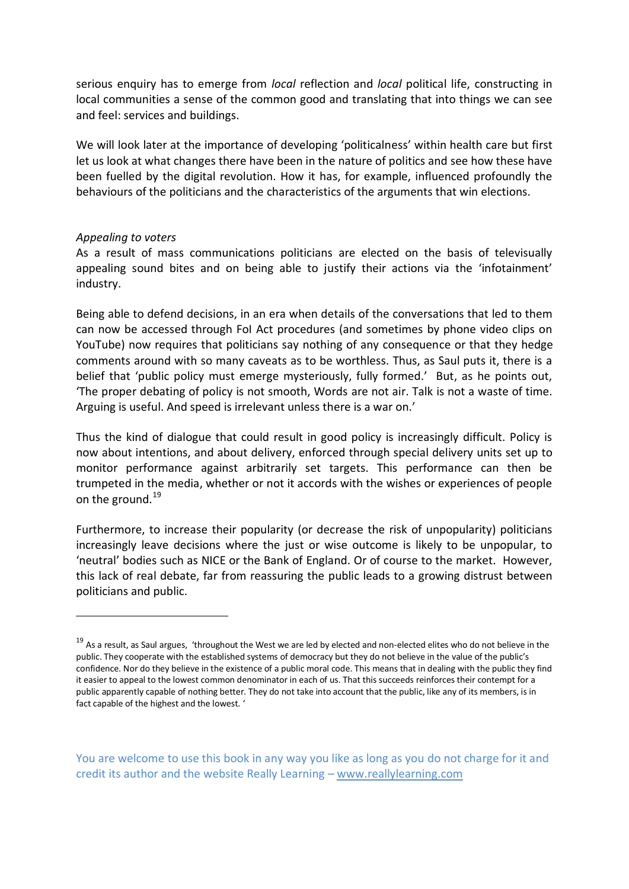serious enquiry has to emerge from *local* reflection and *local* political life, constructing in local communities a sense of the common good and translating that into things we can see and feel: services and buildings.

We will look later at the importance of developing 'politicalness' within health care but first let us look at what changes there have been in the nature of politics and see how these have been fuelled by the digital revolution. How it has, for example, influenced profoundly the behaviours of the politicians and the characteristics of the arguments that win elections.

#### *Appealing to voters*

<u>.</u>

As a result of mass communications politicians are elected on the basis of televisually appealing sound bites and on being able to justify their actions via the 'infotainment' industry.

Being able to defend decisions, in an era when details of the conversations that led to them can now be accessed through FoI Act procedures (and sometimes by phone video clips on YouTube) now requires that politicians say nothing of any consequence or that they hedge comments around with so many caveats as to be worthless. Thus, as Saul puts it, there is a belief that 'public policy must emerge mysteriously, fully formed.' But, as he points out, 'The proper debating of policy is not smooth, Words are not air. Talk is not a waste of time. Arguing is useful. And speed is irrelevant unless there is a war on.'

Thus the kind of dialogue that could result in good policy is increasingly difficult. Policy is now about intentions, and about delivery, enforced through special delivery units set up to monitor performance against arbitrarily set targets. This performance can then be trumpeted in the media, whether or not it accords with the wishes or experiences of people on the ground.<sup>19</sup>

Furthermore, to increase their popularity (or decrease the risk of unpopularity) politicians increasingly leave decisions where the just or wise outcome is likely to be unpopular, to 'neutral' bodies such as NICE or the Bank of England. Or of course to the market. However, this lack of real debate, far from reassuring the public leads to a growing distrust between politicians and public.

<sup>&</sup>lt;sup>19</sup> As a result, as Saul argues, 'throughout the West we are led by elected and non-elected elites who do not believe in the public. They cooperate with the established systems of democracy but they do not believe in the value of the public's confidence. Nor do they believe in the existence of a public moral code. This means that in dealing with the public they find it easier to appeal to the lowest common denominator in each of us. That this succeeds reinforces their contempt for a public apparently capable of nothing better. They do not take into account that the public, like any of its members, is in fact capable of the highest and the lowest. '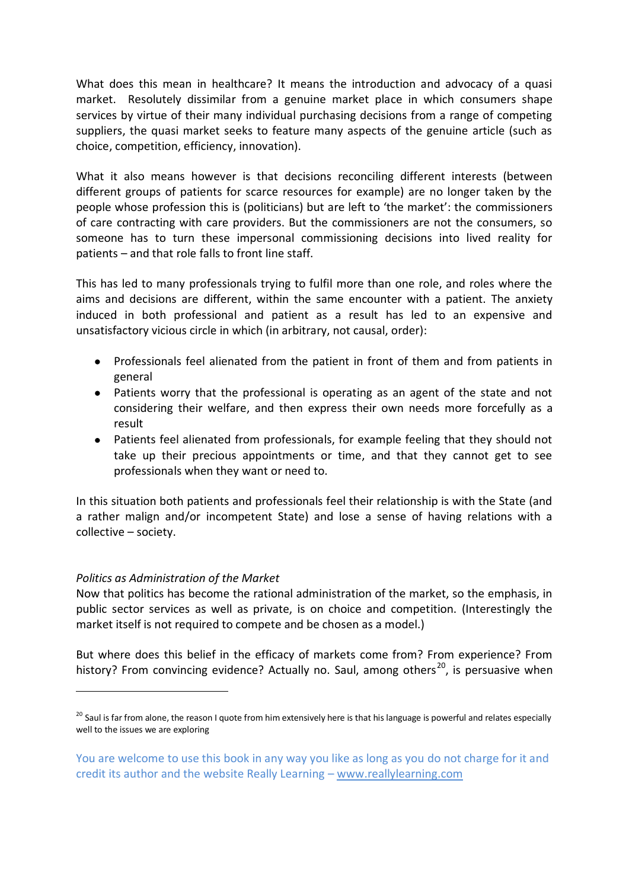What does this mean in healthcare? It means the introduction and advocacy of a quasi market. Resolutely dissimilar from a genuine market place in which consumers shape services by virtue of their many individual purchasing decisions from a range of competing suppliers, the quasi market seeks to feature many aspects of the genuine article (such as choice, competition, efficiency, innovation).

What it also means however is that decisions reconciling different interests (between different groups of patients for scarce resources for example) are no longer taken by the people whose profession this is (politicians) but are left to 'the market': the commissioners of care contracting with care providers. But the commissioners are not the consumers, so someone has to turn these impersonal commissioning decisions into lived reality for patients – and that role falls to front line staff.

This has led to many professionals trying to fulfil more than one role, and roles where the aims and decisions are different, within the same encounter with a patient. The anxiety induced in both professional and patient as a result has led to an expensive and unsatisfactory vicious circle in which (in arbitrary, not causal, order):

- Professionals feel alienated from the patient in front of them and from patients in general
- Patients worry that the professional is operating as an agent of the state and not considering their welfare, and then express their own needs more forcefully as a result
- Patients feel alienated from professionals, for example feeling that they should not take up their precious appointments or time, and that they cannot get to see professionals when they want or need to.

In this situation both patients and professionals feel their relationship is with the State (and a rather malign and/or incompetent State) and lose a sense of having relations with a collective – society.

# *Politics as Administration of the Market*

-

Now that politics has become the rational administration of the market, so the emphasis, in public sector services as well as private, is on choice and competition. (Interestingly the market itself is not required to compete and be chosen as a model.)

But where does this belief in the efficacy of markets come from? From experience? From history? From convincing evidence? Actually no. Saul, among others<sup>20</sup>, is persuasive when

<sup>&</sup>lt;sup>20</sup> Saul is far from alone, the reason I quote from him extensively here is that his language is powerful and relates especially well to the issues we are exploring

You are welcome to use this book in any way you like as long as you do not charge for it and credit its author and the website Really Learning – www.reallylearning.com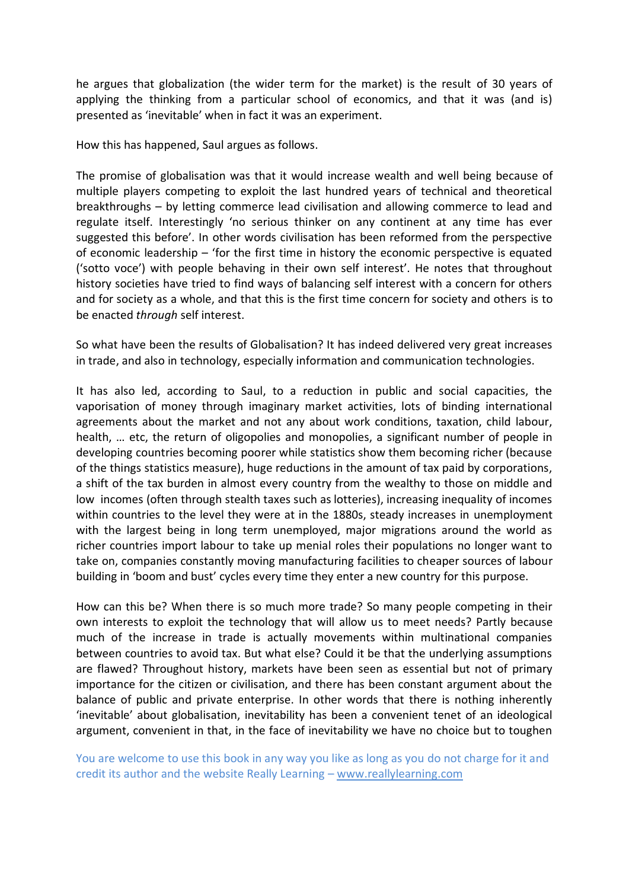he argues that globalization (the wider term for the market) is the result of 30 years of applying the thinking from a particular school of economics, and that it was (and is) presented as 'inevitable' when in fact it was an experiment.

How this has happened, Saul argues as follows.

The promise of globalisation was that it would increase wealth and well being because of multiple players competing to exploit the last hundred years of technical and theoretical breakthroughs – by letting commerce lead civilisation and allowing commerce to lead and regulate itself. Interestingly 'no serious thinker on any continent at any time has ever suggested this before'. In other words civilisation has been reformed from the perspective of economic leadership – 'for the first time in history the economic perspective is equated ('sotto voce') with people behaving in their own self interest'. He notes that throughout history societies have tried to find ways of balancing self interest with a concern for others and for society as a whole, and that this is the first time concern for society and others is to be enacted *through* self interest.

So what have been the results of Globalisation? It has indeed delivered very great increases in trade, and also in technology, especially information and communication technologies.

It has also led, according to Saul, to a reduction in public and social capacities, the vaporisation of money through imaginary market activities, lots of binding international agreements about the market and not any about work conditions, taxation, child labour, health, ... etc, the return of oligopolies and monopolies, a significant number of people in developing countries becoming poorer while statistics show them becoming richer (because of the things statistics measure), huge reductions in the amount of tax paid by corporations, a shift of the tax burden in almost every country from the wealthy to those on middle and low incomes (often through stealth taxes such as lotteries), increasing inequality of incomes within countries to the level they were at in the 1880s, steady increases in unemployment with the largest being in long term unemployed, major migrations around the world as richer countries import labour to take up menial roles their populations no longer want to take on, companies constantly moving manufacturing facilities to cheaper sources of labour building in 'boom and bust' cycles every time they enter a new country for this purpose.

How can this be? When there is so much more trade? So many people competing in their own interests to exploit the technology that will allow us to meet needs? Partly because much of the increase in trade is actually movements within multinational companies between countries to avoid tax. But what else? Could it be that the underlying assumptions are flawed? Throughout history, markets have been seen as essential but not of primary importance for the citizen or civilisation, and there has been constant argument about the balance of public and private enterprise. In other words that there is nothing inherently 'inevitable' about globalisation, inevitability has been a convenient tenet of an ideological argument, convenient in that, in the face of inevitability we have no choice but to toughen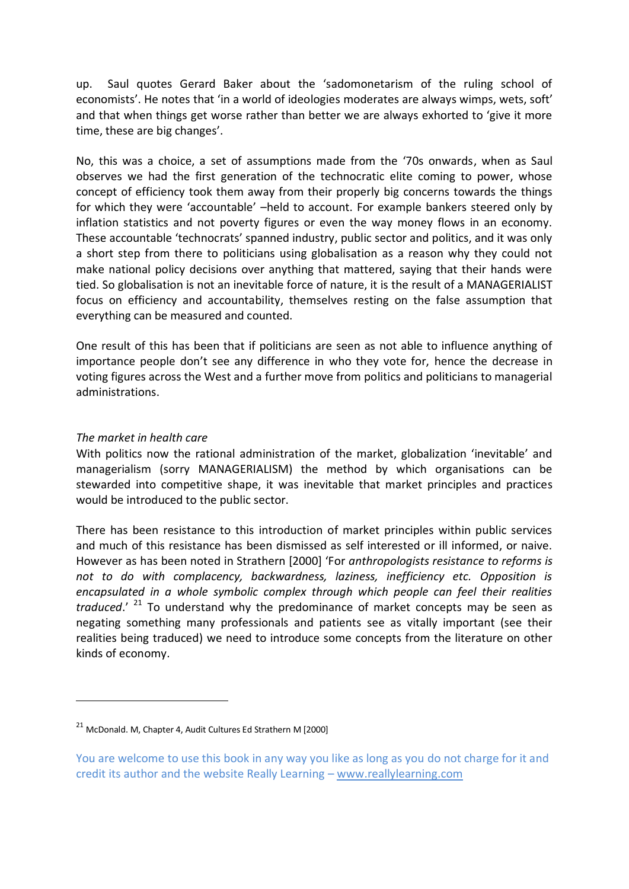up. Saul quotes Gerard Baker about the 'sadomonetarism of the ruling school of economists'. He notes that 'in a world of ideologies moderates are always wimps, wets, soft' and that when things get worse rather than better we are always exhorted to 'give it more time, these are big changes'.

No, this was a choice, a set of assumptions made from the '70s onwards, when as Saul observes we had the first generation of the technocratic elite coming to power, whose concept of efficiency took them away from their properly big concerns towards the things for which they were 'accountable' –held to account. For example bankers steered only by inflation statistics and not poverty figures or even the way money flows in an economy. These accountable 'technocrats' spanned industry, public sector and politics, and it was only a short step from there to politicians using globalisation as a reason why they could not make national policy decisions over anything that mattered, saying that their hands were tied. So globalisation is not an inevitable force of nature, it is the result of a MANAGERIALIST focus on efficiency and accountability, themselves resting on the false assumption that everything can be measured and counted.

One result of this has been that if politicians are seen as not able to influence anything of importance people don't see any difference in who they vote for, hence the decrease in voting figures across the West and a further move from politics and politicians to managerial administrations.

#### *The market in health care*

-

With politics now the rational administration of the market, globalization 'inevitable' and managerialism (sorry MANAGERIALISM) the method by which organisations can be stewarded into competitive shape, it was inevitable that market principles and practices would be introduced to the public sector.

There has been resistance to this introduction of market principles within public services and much of this resistance has been dismissed as self interested or ill informed, or naive. However as has been noted in Strathern [2000] 'For *anthropologists resistance to reforms is not to do with complacency, backwardness, laziness, inefficiency etc. Opposition is encapsulated in a whole symbolic complex through which people can feel their realities traduced*.' <sup>21</sup> To understand why the predominance of market concepts may be seen as negating something many professionals and patients see as vitally important (see their realities being traduced) we need to introduce some concepts from the literature on other kinds of economy.

<sup>21</sup> McDonald. M, Chapter 4, Audit Cultures Ed Strathern M [2000]

You are welcome to use this book in any way you like as long as you do not charge for it and credit its author and the website Really Learning – www.reallylearning.com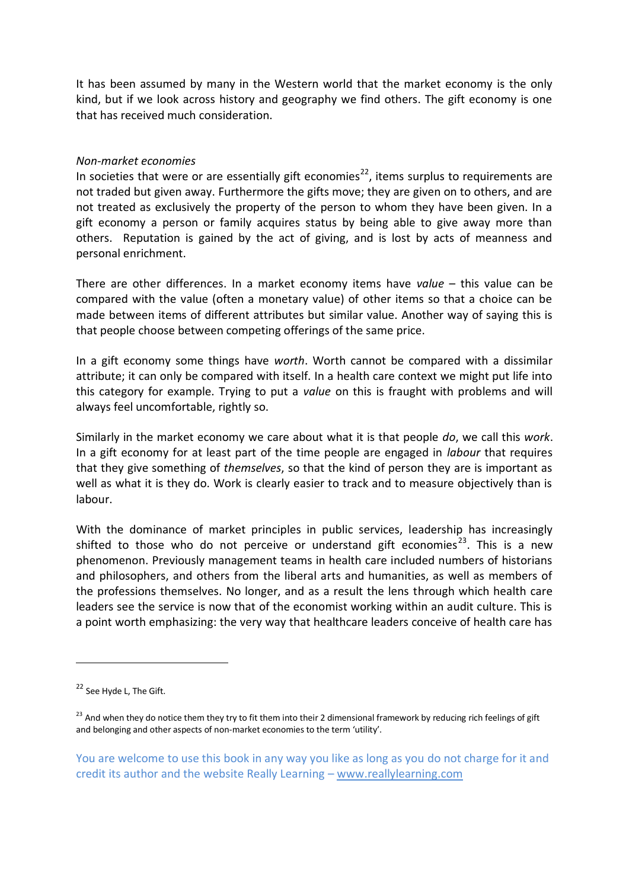It has been assumed by many in the Western world that the market economy is the only kind, but if we look across history and geography we find others. The gift economy is one that has received much consideration.

#### *Non-market economies*

In societies that were or are essentially gift economies<sup>22</sup>, items surplus to requirements are not traded but given away. Furthermore the gifts move; they are given on to others, and are not treated as exclusively the property of the person to whom they have been given. In a gift economy a person or family acquires status by being able to give away more than others. Reputation is gained by the act of giving, and is lost by acts of meanness and personal enrichment.

There are other differences. In a market economy items have *value* – this value can be compared with the value (often a monetary value) of other items so that a choice can be made between items of different attributes but similar value. Another way of saying this is that people choose between competing offerings of the same price.

In a gift economy some things have *worth*. Worth cannot be compared with a dissimilar attribute; it can only be compared with itself. In a health care context we might put life into this category for example. Trying to put a *value* on this is fraught with problems and will always feel uncomfortable, rightly so.

Similarly in the market economy we care about what it is that people *do*, we call this *work*. In a gift economy for at least part of the time people are engaged in *labour* that requires that they give something of *themselves*, so that the kind of person they are is important as well as what it is they do. Work is clearly easier to track and to measure objectively than is labour.

With the dominance of market principles in public services, leadership has increasingly shifted to those who do not perceive or understand gift economies<sup>23</sup>. This is a new phenomenon. Previously management teams in health care included numbers of historians and philosophers, and others from the liberal arts and humanities, as well as members of the professions themselves. No longer, and as a result the lens through which health care leaders see the service is now that of the economist working within an audit culture. This is a point worth emphasizing: the very way that healthcare leaders conceive of health care has

-

<sup>&</sup>lt;sup>22</sup> See Hyde L, The Gift.

 $^{23}$  And when they do notice them they try to fit them into their 2 dimensional framework by reducing rich feelings of gift and belonging and other aspects of non-market economies to the term 'utility'.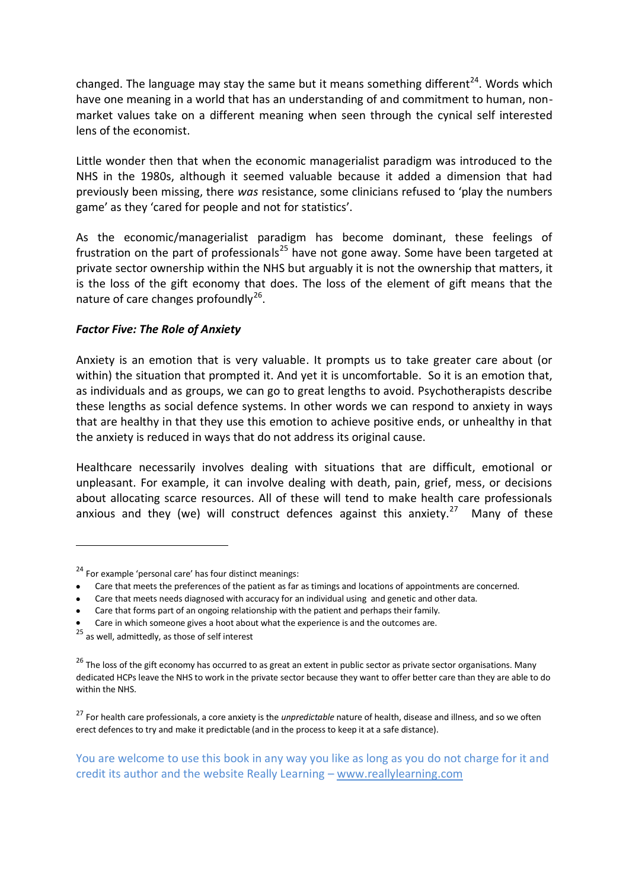changed. The language may stay the same but it means something different<sup>24</sup>. Words which have one meaning in a world that has an understanding of and commitment to human, nonmarket values take on a different meaning when seen through the cynical self interested lens of the economist.

Little wonder then that when the economic managerialist paradigm was introduced to the NHS in the 1980s, although it seemed valuable because it added a dimension that had previously been missing, there *was* resistance, some clinicians refused to 'play the numbers game' as they 'cared for people and not for statistics'.

As the economic/managerialist paradigm has become dominant, these feelings of frustration on the part of professionals<sup>25</sup> have not gone away. Some have been targeted at private sector ownership within the NHS but arguably it is not the ownership that matters, it is the loss of the gift economy that does. The loss of the element of gift means that the nature of care changes profoundly<sup>26</sup>.

# *Factor Five: The Role of Anxiety*

Anxiety is an emotion that is very valuable. It prompts us to take greater care about (or within) the situation that prompted it. And yet it is uncomfortable. So it is an emotion that, as individuals and as groups, we can go to great lengths to avoid. Psychotherapists describe these lengths as social defence systems. In other words we can respond to anxiety in ways that are healthy in that they use this emotion to achieve positive ends, or unhealthy in that the anxiety is reduced in ways that do not address its original cause.

Healthcare necessarily involves dealing with situations that are difficult, emotional or unpleasant. For example, it can involve dealing with death, pain, grief, mess, or decisions about allocating scarce resources. All of these will tend to make health care professionals anxious and they (we) will construct defences against this anxiety.<sup>27</sup> Many of these

- Care that meets the preferences of the patient as far as timings and locations of appointments are concerned.
- Care that meets needs diagnosed with accuracy for an individual using and genetic and other data.

Care in which someone gives a hoot about what the experience is and the outcomes are.

<u>.</u>

<sup>27</sup> For health care professionals, a core anxiety is the *unpredictable* nature of health, disease and illness, and so we often erect defences to try and make it predictable (and in the process to keep it at a safe distance).

<sup>24</sup> For example 'personal care' has four distinct meanings:

Care that forms part of an ongoing relationship with the patient and perhaps their family.

 $25$  as well, admittedly, as those of self interest

<sup>&</sup>lt;sup>26</sup> The loss of the gift economy has occurred to as great an extent in public sector as private sector organisations. Many dedicated HCPs leave the NHS to work in the private sector because they want to offer better care than they are able to do within the NHS.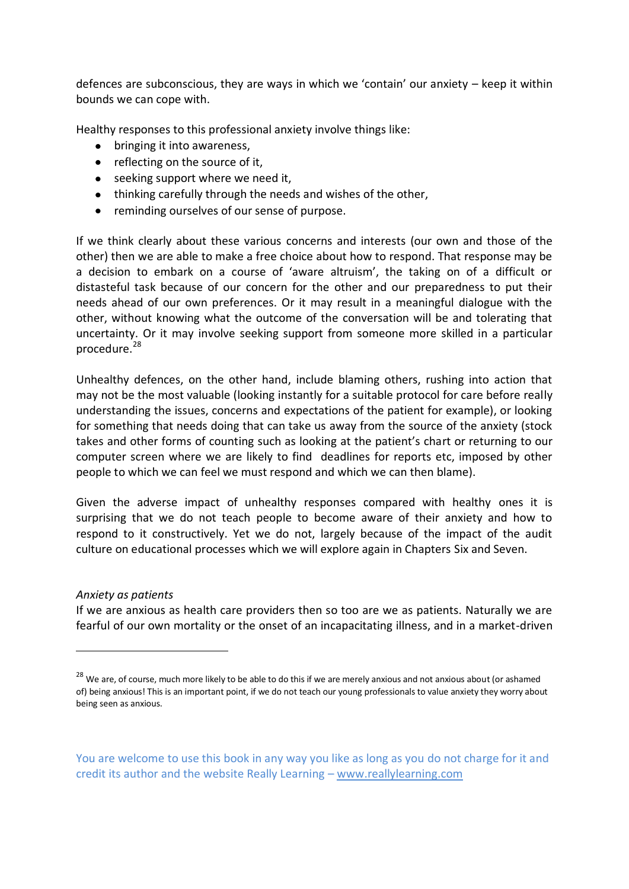defences are subconscious, they are ways in which we 'contain' our anxiety – keep it within bounds we can cope with.

Healthy responses to this professional anxiety involve things like:

- bringing it into awareness.
- $\bullet$  reflecting on the source of it,
- seeking support where we need it,
- thinking carefully through the needs and wishes of the other,
- reminding ourselves of our sense of purpose.

If we think clearly about these various concerns and interests (our own and those of the other) then we are able to make a free choice about how to respond. That response may be a decision to embark on a course of 'aware altruism', the taking on of a difficult or distasteful task because of our concern for the other and our preparedness to put their needs ahead of our own preferences. Or it may result in a meaningful dialogue with the other, without knowing what the outcome of the conversation will be and tolerating that uncertainty. Or it may involve seeking support from someone more skilled in a particular procedure.<sup>28</sup>

Unhealthy defences, on the other hand, include blaming others, rushing into action that may not be the most valuable (looking instantly for a suitable protocol for care before really understanding the issues, concerns and expectations of the patient for example), or looking for something that needs doing that can take us away from the source of the anxiety (stock takes and other forms of counting such as looking at the patient's chart or returning to our computer screen where we are likely to find deadlines for reports etc, imposed by other people to which we can feel we must respond and which we can then blame).

Given the adverse impact of unhealthy responses compared with healthy ones it is surprising that we do not teach people to become aware of their anxiety and how to respond to it constructively. Yet we do not, largely because of the impact of the audit culture on educational processes which we will explore again in Chapters Six and Seven.

*Anxiety as patients*

<u>.</u>

If we are anxious as health care providers then so too are we as patients. Naturally we are fearful of our own mortality or the onset of an incapacitating illness, and in a market-driven

<sup>&</sup>lt;sup>28</sup> We are, of course, much more likely to be able to do this if we are merely anxious and not anxious about (or ashamed of) being anxious! This is an important point, if we do not teach our young professionals to value anxiety they worry about being seen as anxious.

You are welcome to use this book in any way you like as long as you do not charge for it and credit its author and the website Really Learning – www.reallylearning.com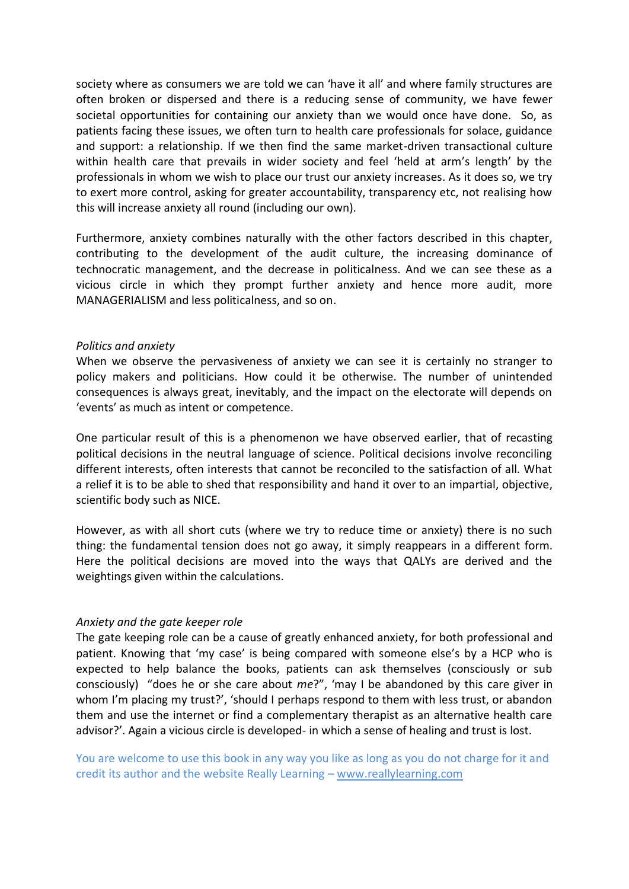society where as consumers we are told we can 'have it all' and where family structures are often broken or dispersed and there is a reducing sense of community, we have fewer societal opportunities for containing our anxiety than we would once have done. So, as patients facing these issues, we often turn to health care professionals for solace, guidance and support: a relationship. If we then find the same market-driven transactional culture within health care that prevails in wider society and feel 'held at arm's length' by the professionals in whom we wish to place our trust our anxiety increases. As it does so, we try to exert more control, asking for greater accountability, transparency etc, not realising how this will increase anxiety all round (including our own).

Furthermore, anxiety combines naturally with the other factors described in this chapter, contributing to the development of the audit culture, the increasing dominance of technocratic management, and the decrease in politicalness. And we can see these as a vicious circle in which they prompt further anxiety and hence more audit, more MANAGERIALISM and less politicalness, and so on.

#### *Politics and anxiety*

When we observe the pervasiveness of anxiety we can see it is certainly no stranger to policy makers and politicians. How could it be otherwise. The number of unintended consequences is always great, inevitably, and the impact on the electorate will depends on 'events' as much as intent or competence.

One particular result of this is a phenomenon we have observed earlier, that of recasting political decisions in the neutral language of science. Political decisions involve reconciling different interests, often interests that cannot be reconciled to the satisfaction of all. What a relief it is to be able to shed that responsibility and hand it over to an impartial, objective, scientific body such as NICE.

However, as with all short cuts (where we try to reduce time or anxiety) there is no such thing: the fundamental tension does not go away, it simply reappears in a different form. Here the political decisions are moved into the ways that QALYs are derived and the weightings given within the calculations.

#### *Anxiety and the gate keeper role*

The gate keeping role can be a cause of greatly enhanced anxiety, for both professional and patient. Knowing that 'my case' is being compared with someone else's by a HCP who is expected to help balance the books, patients can ask themselves (consciously or sub consciously) "does he or she care about *me*?", 'may I be abandoned by this care giver in whom I'm placing my trust?', 'should I perhaps respond to them with less trust, or abandon them and use the internet or find a complementary therapist as an alternative health care advisor?'. Again a vicious circle is developed- in which a sense of healing and trust is lost.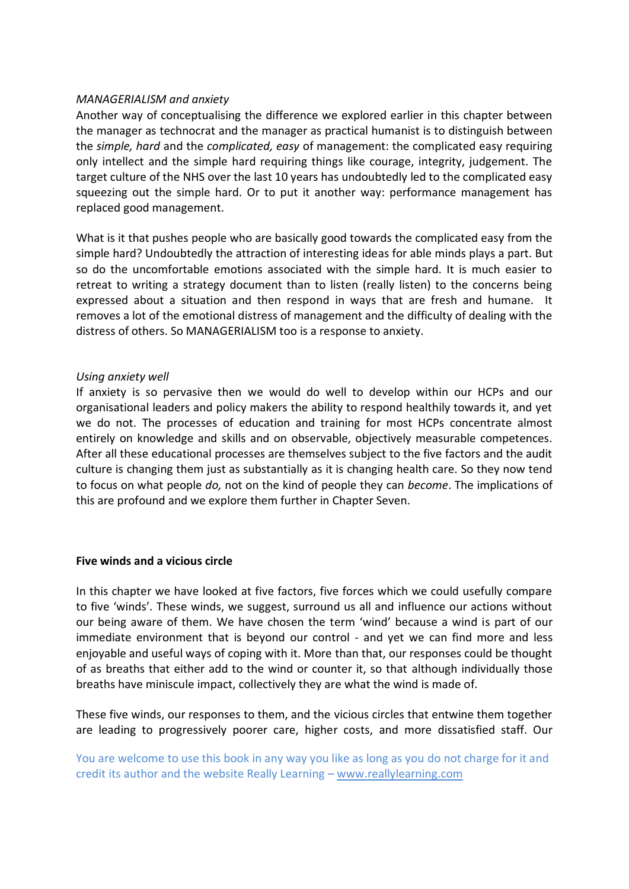#### *MANAGERIALISM and anxiety*

Another way of conceptualising the difference we explored earlier in this chapter between the manager as technocrat and the manager as practical humanist is to distinguish between the *simple, hard* and the *complicated, easy* of management: the complicated easy requiring only intellect and the simple hard requiring things like courage, integrity, judgement. The target culture of the NHS over the last 10 years has undoubtedly led to the complicated easy squeezing out the simple hard. Or to put it another way: performance management has replaced good management.

What is it that pushes people who are basically good towards the complicated easy from the simple hard? Undoubtedly the attraction of interesting ideas for able minds plays a part. But so do the uncomfortable emotions associated with the simple hard. It is much easier to retreat to writing a strategy document than to listen (really listen) to the concerns being expressed about a situation and then respond in ways that are fresh and humane. It removes a lot of the emotional distress of management and the difficulty of dealing with the distress of others. So MANAGERIALISM too is a response to anxiety.

#### *Using anxiety well*

If anxiety is so pervasive then we would do well to develop within our HCPs and our organisational leaders and policy makers the ability to respond healthily towards it, and yet we do not. The processes of education and training for most HCPs concentrate almost entirely on knowledge and skills and on observable, objectively measurable competences. After all these educational processes are themselves subject to the five factors and the audit culture is changing them just as substantially as it is changing health care. So they now tend to focus on what people *do,* not on the kind of people they can *become*. The implications of this are profound and we explore them further in Chapter Seven.

#### **Five winds and a vicious circle**

In this chapter we have looked at five factors, five forces which we could usefully compare to five 'winds'. These winds, we suggest, surround us all and influence our actions without our being aware of them. We have chosen the term 'wind' because a wind is part of our immediate environment that is beyond our control - and yet we can find more and less enjoyable and useful ways of coping with it. More than that, our responses could be thought of as breaths that either add to the wind or counter it, so that although individually those breaths have miniscule impact, collectively they are what the wind is made of.

These five winds, our responses to them, and the vicious circles that entwine them together are leading to progressively poorer care, higher costs, and more dissatisfied staff. Our